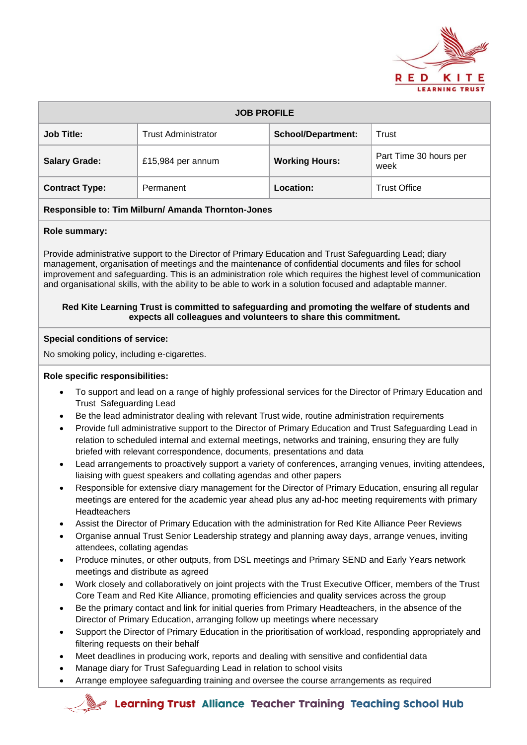

| <b>JOB PROFILE</b>    |                            |                           |                                |  |  |
|-----------------------|----------------------------|---------------------------|--------------------------------|--|--|
| <b>Job Title:</b>     | <b>Trust Administrator</b> | <b>School/Department:</b> | Trust                          |  |  |
| <b>Salary Grade:</b>  | £15,984 per annum          | <b>Working Hours:</b>     | Part Time 30 hours per<br>week |  |  |
| <b>Contract Type:</b> | Permanent                  | Location:                 | <b>Trust Office</b>            |  |  |

## **Responsible to: Tim Milburn/ Amanda Thornton-Jones**

## **Role summary:**

Provide administrative support to the Director of Primary Education and Trust Safeguarding Lead; diary management, organisation of meetings and the maintenance of confidential documents and files for school improvement and safeguarding. This is an administration role which requires the highest level of communication and organisational skills, with the ability to be able to work in a solution focused and adaptable manner.

#### **Red Kite Learning Trust is committed to safeguarding and promoting the welfare of students and expects all colleagues and volunteers to share this commitment.**

#### **Special conditions of service:**

No smoking policy, including e-cigarettes.

#### **Role specific responsibilities:**

- To support and lead on a range of highly professional services for the Director of Primary Education and Trust Safeguarding Lead
- Be the lead administrator dealing with relevant Trust wide, routine administration requirements
- Provide full administrative support to the Director of Primary Education and Trust Safeguarding Lead in relation to scheduled internal and external meetings, networks and training, ensuring they are fully briefed with relevant correspondence, documents, presentations and data
- Lead arrangements to proactively support a variety of conferences, arranging venues, inviting attendees, liaising with guest speakers and collating agendas and other papers
- Responsible for extensive diary management for the Director of Primary Education, ensuring all regular meetings are entered for the academic year ahead plus any ad-hoc meeting requirements with primary **Headteachers**
- Assist the Director of Primary Education with the administration for Red Kite Alliance Peer Reviews
- Organise annual Trust Senior Leadership strategy and planning away days, arrange venues, inviting attendees, collating agendas
- Produce minutes, or other outputs, from DSL meetings and Primary SEND and Early Years network meetings and distribute as agreed
- Work closely and collaboratively on joint projects with the Trust Executive Officer, members of the Trust Core Team and Red Kite Alliance, promoting efficiencies and quality services across the group
- Be the primary contact and link for initial queries from Primary Headteachers, in the absence of the Director of Primary Education, arranging follow up meetings where necessary
- Support the Director of Primary Education in the prioritisation of workload, responding appropriately and filtering requests on their behalf
- Meet deadlines in producing work, reports and dealing with sensitive and confidential data
- Manage diary for Trust Safeguarding Lead in relation to school visits
- Arrange employee safeguarding training and oversee the course arrangements as required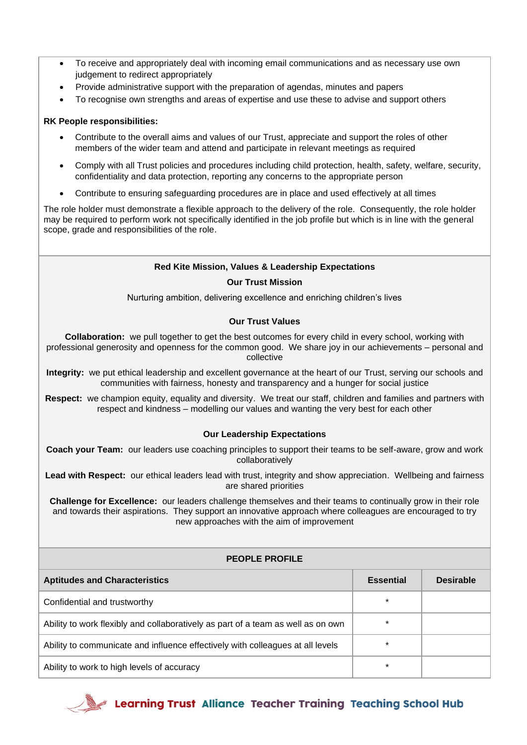- To receive and appropriately deal with incoming email communications and as necessary use own judgement to redirect appropriately
- Provide administrative support with the preparation of agendas, minutes and papers
- To recognise own strengths and areas of expertise and use these to advise and support others

# **RK People responsibilities:**

- Contribute to the overall aims and values of our Trust, appreciate and support the roles of other members of the wider team and attend and participate in relevant meetings as required
- Comply with all Trust policies and procedures including child protection, health, safety, welfare, security, confidentiality and data protection, reporting any concerns to the appropriate person
- Contribute to ensuring safeguarding procedures are in place and used effectively at all times

The role holder must demonstrate a flexible approach to the delivery of the role. Consequently, the role holder may be required to perform work not specifically identified in the job profile but which is in line with the general scope, grade and responsibilities of the role.

# **Red Kite Mission, Values & Leadership Expectations**

## **Our Trust Mission**

Nurturing ambition, delivering excellence and enriching children's lives

# **Our Trust Values**

**Collaboration:** we pull together to get the best outcomes for every child in every school, working with professional generosity and openness for the common good. We share joy in our achievements – personal and collective

**Integrity:** we put ethical leadership and excellent governance at the heart of our Trust, serving our schools and communities with fairness, honesty and transparency and a hunger for social justice

**Respect:** we champion equity, equality and diversity. We treat our staff, children and families and partners with respect and kindness – modelling our values and wanting the very best for each other

## **Our Leadership Expectations**

**Coach your Team:** our leaders use coaching principles to support their teams to be self-aware, grow and work collaboratively

**Lead with Respect:** our ethical leaders lead with trust, integrity and show appreciation. Wellbeing and fairness are shared priorities

**Challenge for Excellence:** our leaders challenge themselves and their teams to continually grow in their role and towards their aspirations. They support an innovative approach where colleagues are encouraged to try new approaches with the aim of improvement

| <b>PEOPLE PROFILE</b>                                                            |                  |                  |  |  |  |
|----------------------------------------------------------------------------------|------------------|------------------|--|--|--|
| <b>Aptitudes and Characteristics</b>                                             | <b>Essential</b> | <b>Desirable</b> |  |  |  |
| Confidential and trustworthy                                                     | $\ast$           |                  |  |  |  |
| Ability to work flexibly and collaboratively as part of a team as well as on own | $\ast$           |                  |  |  |  |
| Ability to communicate and influence effectively with colleagues at all levels   | $\star$          |                  |  |  |  |
| Ability to work to high levels of accuracy                                       | $\star$          |                  |  |  |  |